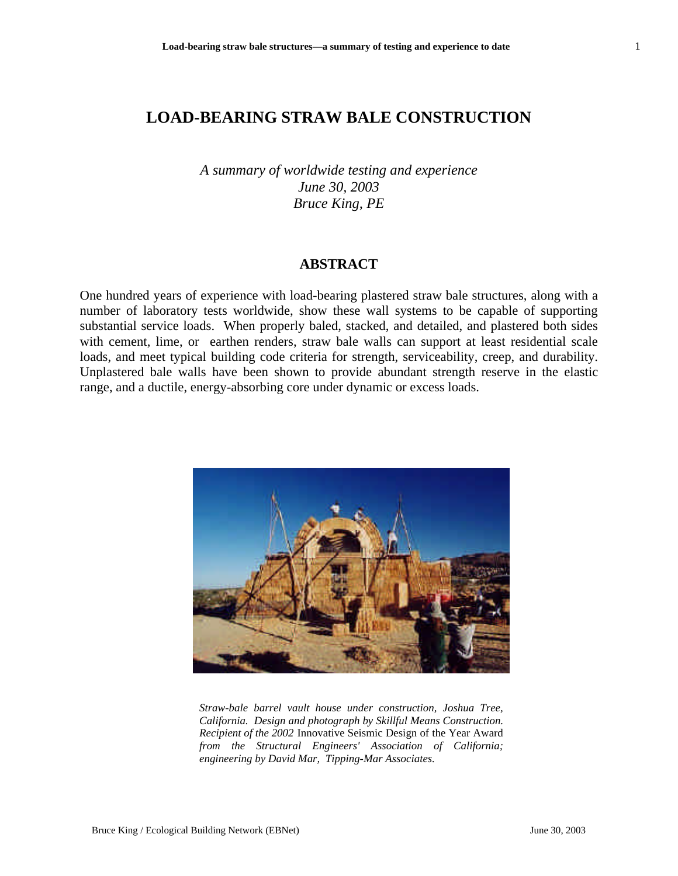*A summary of worldwide testing and experience June 30, 2003 Bruce King, PE*

## **ABSTRACT**

One hundred years of experience with load-bearing plastered straw bale structures, along with a number of laboratory tests worldwide, show these wall systems to be capable of supporting substantial service loads. When properly baled, stacked, and detailed, and plastered both sides with cement, lime, or earthen renders, straw bale walls can support at least residential scale loads, and meet typical building code criteria for strength, serviceability, creep, and durability. Unplastered bale walls have been shown to provide abundant strength reserve in the elastic range, and a ductile, energy-absorbing core under dynamic or excess loads.



*Straw-bale barrel vault house under construction, Joshua Tree, California. Design and photograph by Skillful Means Construction. Recipient of the 2002* Innovative Seismic Design of the Year Award *from the Structural Engineers' Association of California; engineering by David Mar, Tipping-Mar Associates.*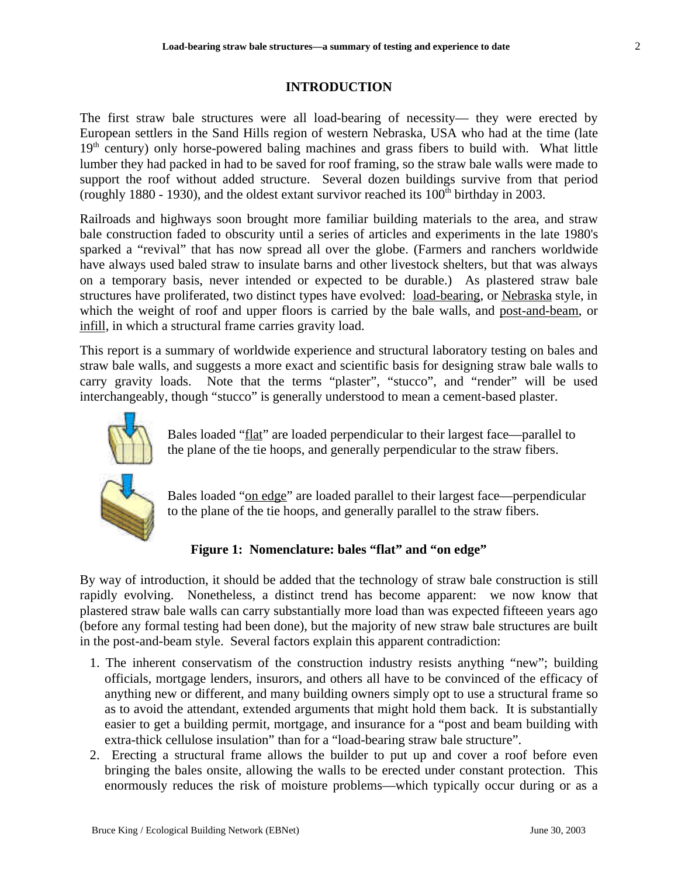## **INTRODUCTION**

The first straw bale structures were all load-bearing of necessity— they were erected by European settlers in the Sand Hills region of western Nebraska, USA who had at the time (late  $19<sup>th</sup>$  century) only horse-powered baling machines and grass fibers to build with. What little lumber they had packed in had to be saved for roof framing, so the straw bale walls were made to support the roof without added structure. Several dozen buildings survive from that period (roughly 1880 - 1930), and the oldest extant survivor reached its  $100<sup>th</sup>$  birthday in 2003.

Railroads and highways soon brought more familiar building materials to the area, and straw bale construction faded to obscurity until a series of articles and experiments in the late 1980's sparked a "revival" that has now spread all over the globe. (Farmers and ranchers worldwide have always used baled straw to insulate barns and other livestock shelters, but that was always on a temporary basis, never intended or expected to be durable.) As plastered straw bale structures have proliferated, two distinct types have evolved: load-bearing, or Nebraska style, in which the weight of roof and upper floors is carried by the bale walls, and post-and-beam, or infill, in which a structural frame carries gravity load.

This report is a summary of worldwide experience and structural laboratory testing on bales and straw bale walls, and suggests a more exact and scientific basis for designing straw bale walls to carry gravity loads. Note that the terms "plaster", "stucco", and "render" will be used interchangeably, though "stucco" is generally understood to mean a cement-based plaster.



Bales loaded "flat" are loaded perpendicular to their largest face—parallel to the plane of the tie hoops, and generally perpendicular to the straw fibers.



Bales loaded "on edge" are loaded parallel to their largest face—perpendicular to the plane of the tie hoops, and generally parallel to the straw fibers.

# **Figure 1: Nomenclature: bales "flat" and "on edge"**

By way of introduction, it should be added that the technology of straw bale construction is still rapidly evolving. Nonetheless, a distinct trend has become apparent: we now know that plastered straw bale walls can carry substantially more load than was expected fifteeen years ago (before any formal testing had been done), but the majority of new straw bale structures are built in the post-and-beam style. Several factors explain this apparent contradiction:

- 1. The inherent conservatism of the construction industry resists anything "new"; building officials, mortgage lenders, insurors, and others all have to be convinced of the efficacy of anything new or different, and many building owners simply opt to use a structural frame so as to avoid the attendant, extended arguments that might hold them back. It is substantially easier to get a building permit, mortgage, and insurance for a "post and beam building with extra-thick cellulose insulation" than for a "load-bearing straw bale structure".
- 2. Erecting a structural frame allows the builder to put up and cover a roof before even bringing the bales onsite, allowing the walls to be erected under constant protection. This enormously reduces the risk of moisture problems—which typically occur during or as a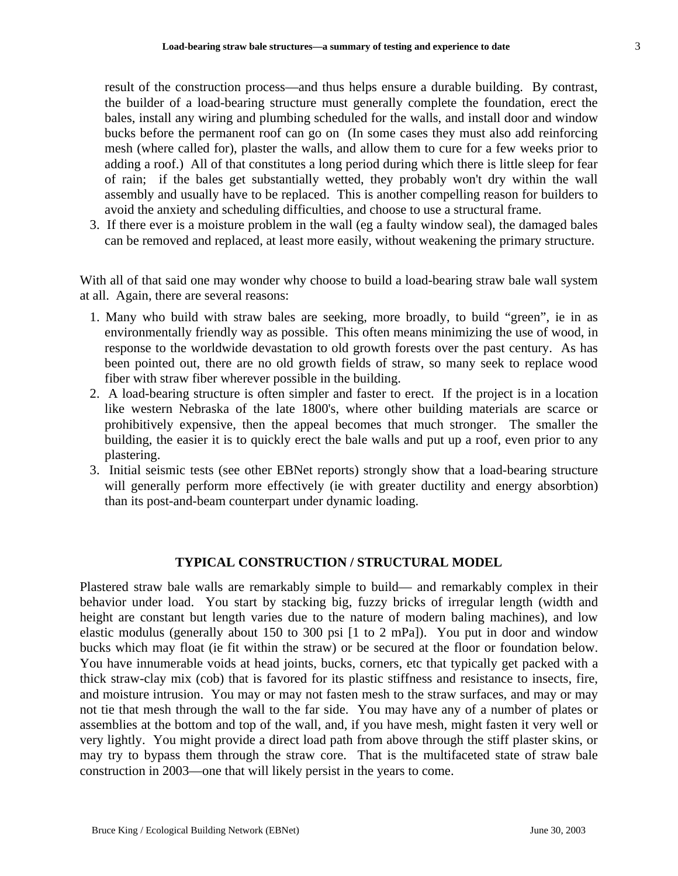result of the construction process—and thus helps ensure a durable building. By contrast, the builder of a load-bearing structure must generally complete the foundation, erect the bales, install any wiring and plumbing scheduled for the walls, and install door and window bucks before the permanent roof can go on (In some cases they must also add reinforcing mesh (where called for), plaster the walls, and allow them to cure for a few weeks prior to adding a roof.) All of that constitutes a long period during which there is little sleep for fear of rain; if the bales get substantially wetted, they probably won't dry within the wall assembly and usually have to be replaced. This is another compelling reason for builders to avoid the anxiety and scheduling difficulties, and choose to use a structural frame.

3. If there ever is a moisture problem in the wall (eg a faulty window seal), the damaged bales can be removed and replaced, at least more easily, without weakening the primary structure.

With all of that said one may wonder why choose to build a load-bearing straw bale wall system at all. Again, there are several reasons:

- 1. Many who build with straw bales are seeking, more broadly, to build "green", ie in as environmentally friendly way as possible. This often means minimizing the use of wood, in response to the worldwide devastation to old growth forests over the past century. As has been pointed out, there are no old growth fields of straw, so many seek to replace wood fiber with straw fiber wherever possible in the building.
- 2. A load-bearing structure is often simpler and faster to erect. If the project is in a location like western Nebraska of the late 1800's, where other building materials are scarce or prohibitively expensive, then the appeal becomes that much stronger. The smaller the building, the easier it is to quickly erect the bale walls and put up a roof, even prior to any plastering.
- 3. Initial seismic tests (see other EBNet reports) strongly show that a load-bearing structure will generally perform more effectively (ie with greater ductility and energy absorbtion) than its post-and-beam counterpart under dynamic loading.

## **TYPICAL CONSTRUCTION / STRUCTURAL MODEL**

Plastered straw bale walls are remarkably simple to build— and remarkably complex in their behavior under load. You start by stacking big, fuzzy bricks of irregular length (width and height are constant but length varies due to the nature of modern baling machines), and low elastic modulus (generally about 150 to 300 psi [1 to 2 mPa]). You put in door and window bucks which may float (ie fit within the straw) or be secured at the floor or foundation below. You have innumerable voids at head joints, bucks, corners, etc that typically get packed with a thick straw-clay mix (cob) that is favored for its plastic stiffness and resistance to insects, fire, and moisture intrusion. You may or may not fasten mesh to the straw surfaces, and may or may not tie that mesh through the wall to the far side. You may have any of a number of plates or assemblies at the bottom and top of the wall, and, if you have mesh, might fasten it very well or very lightly. You might provide a direct load path from above through the stiff plaster skins, or may try to bypass them through the straw core. That is the multifaceted state of straw bale construction in 2003—one that will likely persist in the years to come.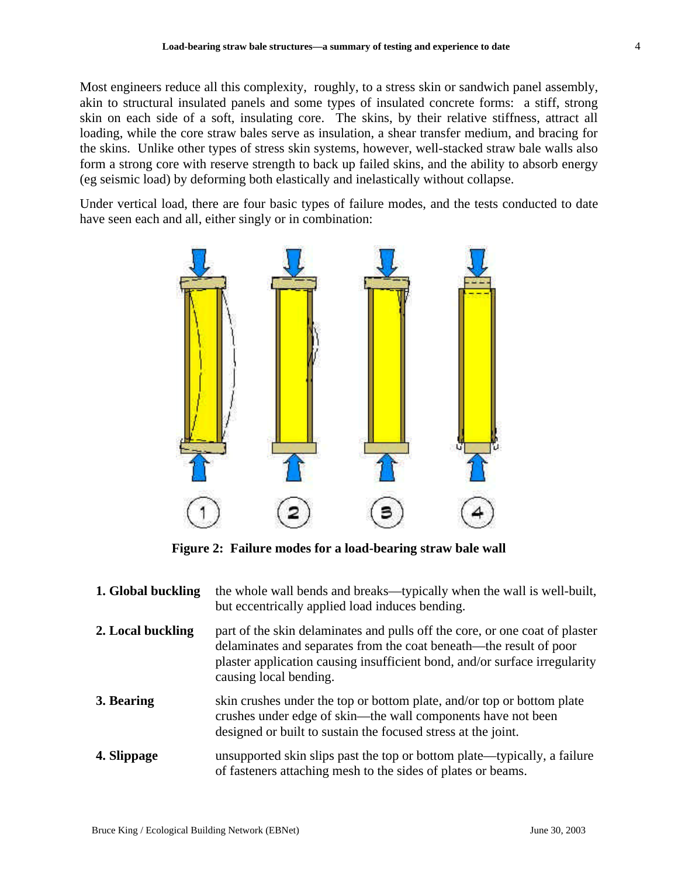Most engineers reduce all this complexity, roughly, to a stress skin or sandwich panel assembly, akin to structural insulated panels and some types of insulated concrete forms: a stiff, strong skin on each side of a soft, insulating core. The skins, by their relative stiffness, attract all loading, while the core straw bales serve as insulation, a shear transfer medium, and bracing for the skins. Unlike other types of stress skin systems, however, well-stacked straw bale walls also form a strong core with reserve strength to back up failed skins, and the ability to absorb energy (eg seismic load) by deforming both elastically and inelastically without collapse.

Under vertical load, there are four basic types of failure modes, and the tests conducted to date have seen each and all, either singly or in combination:



**Figure 2: Failure modes for a load-bearing straw bale wall**

| 1. Global buckling | the whole wall bends and breaks—typically when the wall is well-built,<br>but eccentrically applied load induces bending.                                                                                                                                 |
|--------------------|-----------------------------------------------------------------------------------------------------------------------------------------------------------------------------------------------------------------------------------------------------------|
| 2. Local buckling  | part of the skin delaminates and pulls off the core, or one coat of plaster<br>delaminates and separates from the coat beneath—the result of poor<br>plaster application causing insufficient bond, and/or surface irregularity<br>causing local bending. |
| 3. Bearing         | skin crushes under the top or bottom plate, and/or top or bottom plate<br>crushes under edge of skin—the wall components have not been<br>designed or built to sustain the focused stress at the joint.                                                   |
| 4. Slippage        | unsupported skin slips past the top or bottom plate—typically, a failure<br>of fasteners attaching mesh to the sides of plates or beams.                                                                                                                  |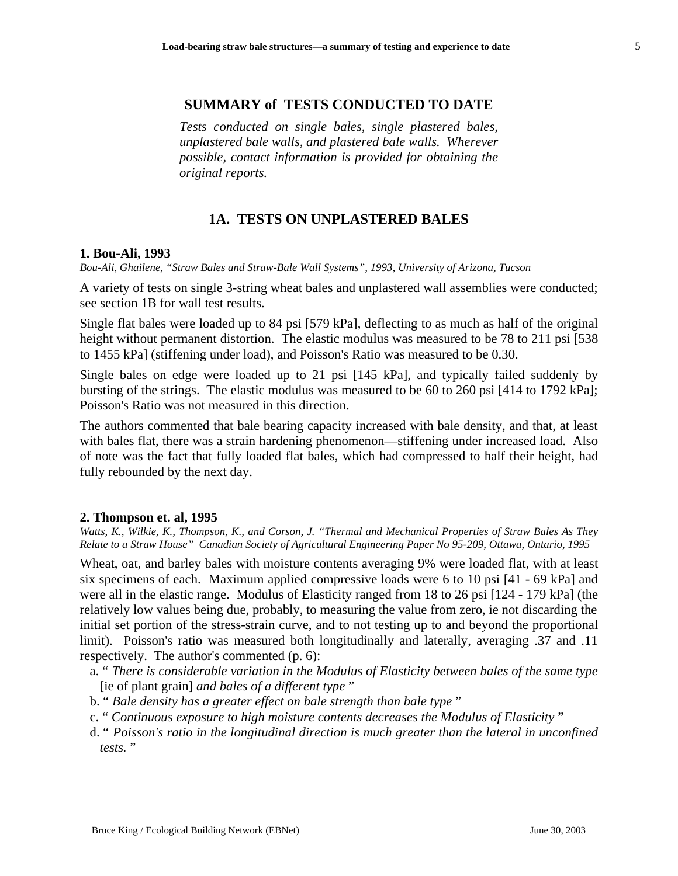## **SUMMARY of TESTS CONDUCTED TO DATE**

*Tests conducted on single bales, single plastered bales, unplastered bale walls, and plastered bale walls. Wherever possible, contact information is provided for obtaining the original reports.*

## **1A. TESTS ON UNPLASTERED BALES**

#### **1. Bou-Ali, 1993**

*Bou-Ali, Ghailene, "Straw Bales and Straw-Bale Wall Systems", 1993, University of Arizona, Tucson*

A variety of tests on single 3-string wheat bales and unplastered wall assemblies were conducted; see section 1B for wall test results.

Single flat bales were loaded up to 84 psi [579 kPa], deflecting to as much as half of the original height without permanent distortion. The elastic modulus was measured to be 78 to 211 psi [538] to 1455 kPa] (stiffening under load), and Poisson's Ratio was measured to be 0.30.

Single bales on edge were loaded up to 21 psi [145 kPa], and typically failed suddenly by bursting of the strings. The elastic modulus was measured to be 60 to 260 psi [414 to 1792 kPa]; Poisson's Ratio was not measured in this direction.

The authors commented that bale bearing capacity increased with bale density, and that, at least with bales flat, there was a strain hardening phenomenon—stiffening under increased load. Also of note was the fact that fully loaded flat bales, which had compressed to half their height, had fully rebounded by the next day.

### **2. Thompson et. al, 1995**

*Watts, K., Wilkie, K., Thompson, K., and Corson, J. "Thermal and Mechanical Properties of Straw Bales As They Relate to a Straw House" Canadian Society of Agricultural Engineering Paper No 95-209, Ottawa, Ontario, 1995*

Wheat, oat, and barley bales with moisture contents averaging 9% were loaded flat, with at least six specimens of each. Maximum applied compressive loads were 6 to 10 psi [41 - 69 kPa] and were all in the elastic range. Modulus of Elasticity ranged from 18 to 26 psi [124 - 179 kPa] (the relatively low values being due, probably, to measuring the value from zero, ie not discarding the initial set portion of the stress-strain curve, and to not testing up to and beyond the proportional limit). Poisson's ratio was measured both longitudinally and laterally, averaging .37 and .11 respectively. The author's commented (p. 6):

- a. " *There is considerable variation in the Modulus of Elasticity between bales of the same type* [ie of plant grain] *and bales of a different type* "
- b. " *Bale density has a greater effect on bale strength than bale type* "
- c. " *Continuous exposure to high moisture contents decreases the Modulus of Elasticity* "
- d. " *Poisson's ratio in the longitudinal direction is much greater than the lateral in unconfined tests.* "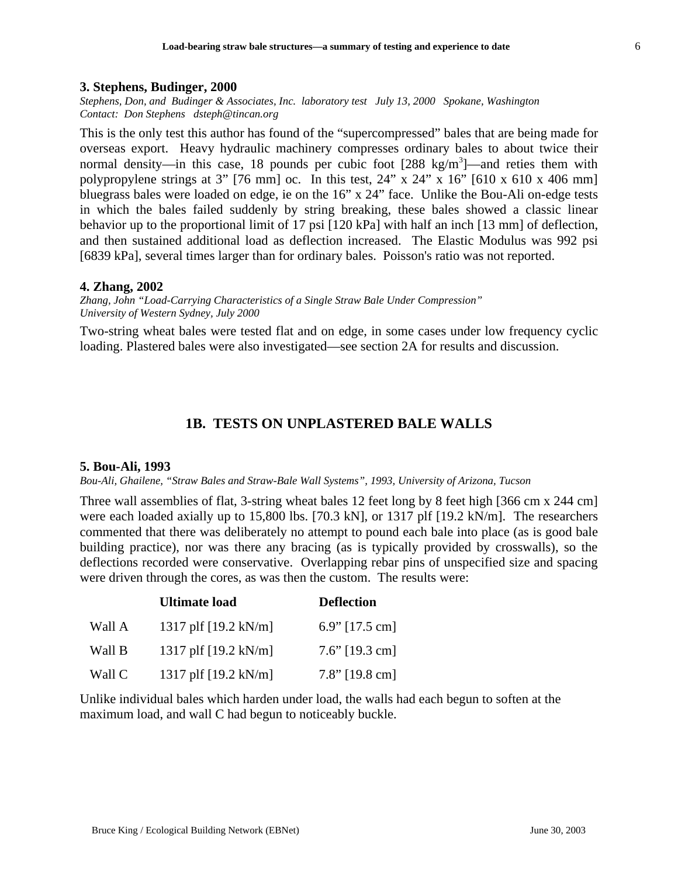### **3. Stephens, Budinger, 2000**

*Stephens, Don, and Budinger & Associates, Inc. laboratory test July 13, 2000 Spokane, Washington Contact: Don Stephens dsteph@tincan.org*

This is the only test this author has found of the "supercompressed" bales that are being made for overseas export. Heavy hydraulic machinery compresses ordinary bales to about twice their normal density—in this case, 18 pounds per cubic foot [288 kg/m<sup>3</sup>]—and reties them with polypropylene strings at 3" [76 mm] oc. In this test,  $24$ " x  $24$ " x  $16$ " [610 x 610 x 406 mm] bluegrass bales were loaded on edge, ie on the 16" x 24" face. Unlike the Bou-Ali on-edge tests in which the bales failed suddenly by string breaking, these bales showed a classic linear behavior up to the proportional limit of 17 psi [120 kPa] with half an inch [13 mm] of deflection, and then sustained additional load as deflection increased. The Elastic Modulus was 992 psi [6839 kPa], several times larger than for ordinary bales. Poisson's ratio was not reported.

### **4. Zhang, 2002**

*Zhang, John "Load-Carrying Characteristics of a Single Straw Bale Under Compression" University of Western Sydney, July 2000*

Two-string wheat bales were tested flat and on edge, in some cases under low frequency cyclic loading. Plastered bales were also investigated—see section 2A for results and discussion.

# **1B. TESTS ON UNPLASTERED BALE WALLS**

### **5. Bou-Ali, 1993**

*Bou-Ali, Ghailene, "Straw Bales and Straw-Bale Wall Systems", 1993, University of Arizona, Tucson*

Three wall assemblies of flat, 3-string wheat bales 12 feet long by 8 feet high [366 cm x 244 cm] were each loaded axially up to 15,800 lbs. [70.3 kN], or 1317 plf [19.2 kN/m]. The researchers commented that there was deliberately no attempt to pound each bale into place (as is good bale building practice), nor was there any bracing (as is typically provided by crosswalls), so the deflections recorded were conservative. Overlapping rebar pins of unspecified size and spacing were driven through the cores, as was then the custom. The results were:

|        | <b>Ultimate load</b>           | <b>Deflection</b> |
|--------|--------------------------------|-------------------|
| Wall A | 1317 plf [19.2 kN/m]           | 6.9" $[17.5$ cm]  |
| Wall B | 1317 plf $[19.2 \text{ kN/m}]$ | $7.6$ " [19.3 cm] |
| Wall C | 1317 plf $[19.2 \text{ kN/m}]$ | $7.8$ " [19.8 cm] |

Unlike individual bales which harden under load, the walls had each begun to soften at the maximum load, and wall C had begun to noticeably buckle.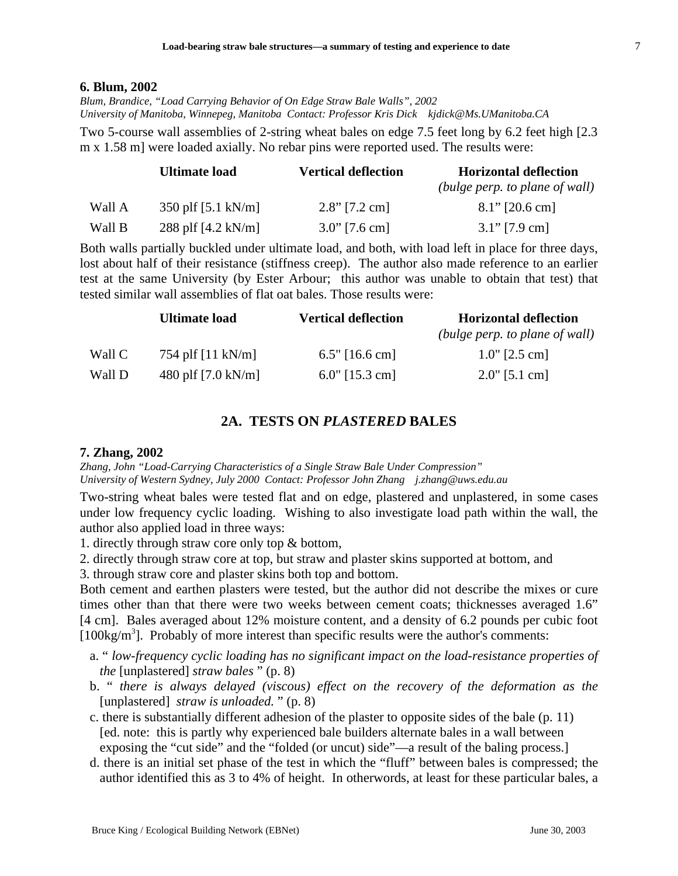#### **6. Blum, 2002**

*Blum, Brandice, "Load Carrying Behavior of On Edge Straw Bale Walls", 2002 University of Manitoba, Winnepeg, Manitoba Contact: Professor Kris Dick kjdick@Ms.UManitoba.CA*

Two 5-course wall assemblies of 2-string wheat bales on edge 7.5 feet long by 6.2 feet high [2.3 m x 1.58 m] were loaded axially. No rebar pins were reported used. The results were:

|        | Ultimate load                | <b>Vertical deflection</b> | <b>Horizontal deflection</b>   |
|--------|------------------------------|----------------------------|--------------------------------|
|        |                              |                            | (bulge perp. to plane of wall) |
| Wall A | 350 plf $[5.1 \text{ kN/m}]$ | $2.8$ " [7.2 cm]           | $8.1$ " [20.6 cm]              |
| Wall B | 288 plf $[4.2 \text{ kN/m}]$ | $3.0$ " [7.6 cm]           | $3.1$ " [7.9 cm]               |

Both walls partially buckled under ultimate load, and both, with load left in place for three days, lost about half of their resistance (stiffness creep). The author also made reference to an earlier test at the same University (by Ester Arbour; this author was unable to obtain that test) that tested similar wall assemblies of flat oat bales. Those results were:

|        | <b>Ultimate load</b>         | <b>Vertical deflection</b> | <b>Horizontal deflection</b>   |
|--------|------------------------------|----------------------------|--------------------------------|
|        |                              |                            | (bulge perp. to plane of wall) |
| Wall C | 754 plf $[11 \text{ kN/m}]$  | $6.5"$ [16.6 cm]           | $1.0$ " [2.5 cm]               |
| Wall D | 480 plf $[7.0 \text{ kN/m}]$ | $6.0$ " [15.3 cm]          | $2.0$ " [5.1 cm]               |

## **2A. TESTS ON** *PLASTERED* **BALES**

### **7. Zhang, 2002**

*Zhang, John "Load-Carrying Characteristics of a Single Straw Bale Under Compression" University of Western Sydney, July 2000 Contact: Professor John Zhang j.zhang@uws.edu.au*

Two-string wheat bales were tested flat and on edge, plastered and unplastered, in some cases under low frequency cyclic loading. Wishing to also investigate load path within the wall, the author also applied load in three ways:

1. directly through straw core only top & bottom,

2. directly through straw core at top, but straw and plaster skins supported at bottom, and

3. through straw core and plaster skins both top and bottom.

Both cement and earthen plasters were tested, but the author did not describe the mixes or cure times other than that there were two weeks between cement coats; thicknesses averaged 1.6" [4 cm]. Bales averaged about 12% moisture content, and a density of 6.2 pounds per cubic foot  $[100\text{kg/m}^3]$ . Probably of more interest than specific results were the author's comments:

- a. " *low-frequency cyclic loading has no significant impact on the load-resistance properties of the* [unplastered] *straw bales* " (p. 8)
- b. " *there is always delayed (viscous) effect on the recovery of the deformation as the* [unplastered] *straw is unloaded.* " (p. 8)
- c. there is substantially different adhesion of the plaster to opposite sides of the bale (p. 11) [ed. note: this is partly why experienced bale builders alternate bales in a wall between exposing the "cut side" and the "folded (or uncut) side"—a result of the baling process.]
- d. there is an initial set phase of the test in which the "fluff" between bales is compressed; the author identified this as 3 to 4% of height. In otherwords, at least for these particular bales, a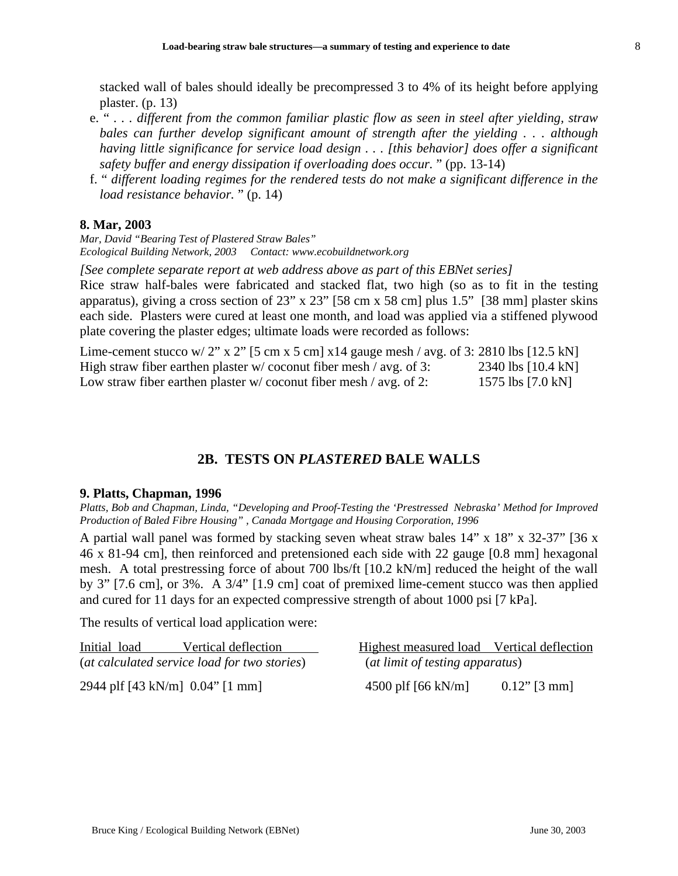stacked wall of bales should ideally be precompressed 3 to 4% of its height before applying plaster. (p. 13)

- e. " *. . . different from the common familiar plastic flow as seen in steel after yielding, straw bales can further develop significant amount of strength after the yielding . . . although having little significance for service load design . . . [this behavior] does offer a significant safety buffer and energy dissipation if overloading does occur.* " (pp. 13-14)
- f. " *different loading regimes for the rendered tests do not make a significant difference in the load resistance behavior.* " (p. 14)

## **8. Mar, 2003**

*Mar, David "Bearing Test of Plastered Straw Bales" Ecological Building Network, 2003 Contact: www.ecobuildnetwork.org*

*[See complete separate report at web address above as part of this EBNet series]* Rice straw half-bales were fabricated and stacked flat, two high (so as to fit in the testing apparatus), giving a cross section of 23" x 23" [58 cm x 58 cm] plus 1.5" [38 mm] plaster skins each side. Plasters were cured at least one month, and load was applied via a stiffened plywood

plate covering the plaster edges; ultimate loads were recorded as follows: Lime-cement stucco w/  $2"$  x  $2"$  [5 cm x 5 cm] x14 gauge mesh / avg. of 2: 2810 lbs [12.5 kN]

| Lime-cement stucco w/ 2" x 2" [5 cm x 5 cm] x14 gauge mesh / avg. of 3: 2810 lbs [12.5 kN] |                    |
|--------------------------------------------------------------------------------------------|--------------------|
| High straw fiber earthen plaster $w$ coconut fiber mesh / avg. of 3:                       | 2340 lbs [10.4 kN] |
| Low straw fiber earthen plaster $w$ coconut fiber mesh / avg. of 2:                        | 1575 lbs [7.0 kN]  |

# **2B. TESTS ON** *PLASTERED* **BALE WALLS**

## **9. Platts, Chapman, 1996**

*Platts, Bob and Chapman, Linda, "Developing and Proof-Testing the 'Prestressed Nebraska' Method for Improved Production of Baled Fibre Housing" , Canada Mortgage and Housing Corporation, 1996*

A partial wall panel was formed by stacking seven wheat straw bales 14" x 18" x 32-37" [36 x 46 x 81-94 cm], then reinforced and pretensioned each side with 22 gauge [0.8 mm] hexagonal mesh. A total prestressing force of about 700 lbs/ft [10.2 kN/m] reduced the height of the wall by 3" [7.6 cm], or 3%. A 3/4" [1.9 cm] coat of premixed lime-cement stucco was then applied and cured for 11 days for an expected compressive strength of about 1000 psi [7 kPa].

The results of vertical load application were:

| Vertical deflection<br>Initial load          | Highest measured load Vertical deflection       |
|----------------------------------------------|-------------------------------------------------|
| (at calculated service load for two stories) | (at limit of testing apparatus)                 |
| 2944 plf [43 kN/m] 0.04" [1 mm]              | 4500 plf $[66 \text{ kN/m}]$<br>$0.12$ " [3 mm] |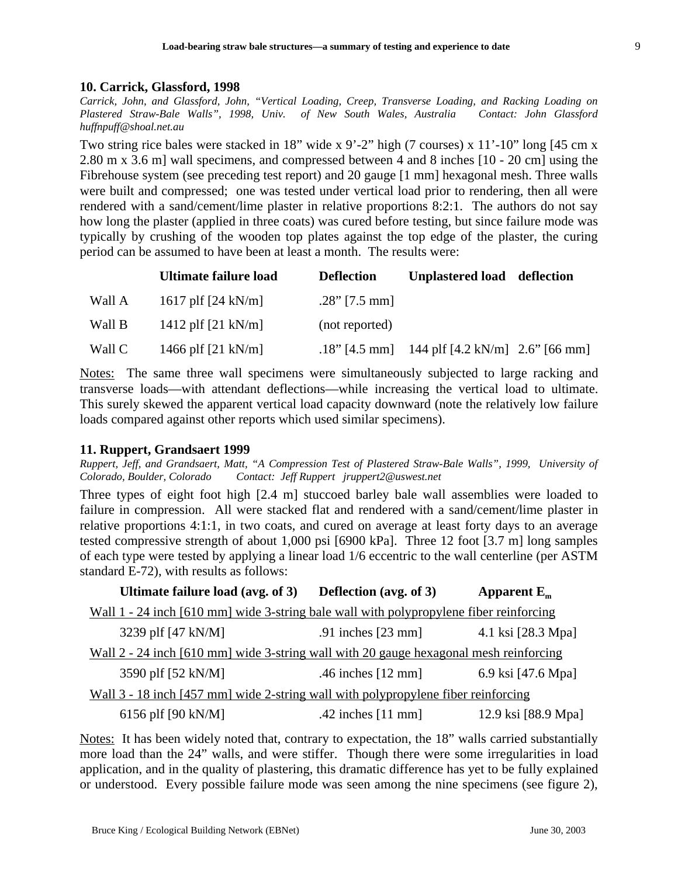## **10. Carrick, Glassford, 1998**

*Carrick, John, and Glassford, John, "Vertical Loading, Creep, Transverse Loading, and Racking Loading on Plastered Straw-Bale Walls", 1998, Univ. of New South Wales, Australia Contact: John Glassford huffnpuff@shoal.net.au*

Two string rice bales were stacked in 18" wide x 9'-2" high (7 courses) x 11'-10" long [45 cm x 2.80 m x 3.6 m] wall specimens, and compressed between 4 and 8 inches [10 - 20 cm] using the Fibrehouse system (see preceding test report) and 20 gauge [1 mm] hexagonal mesh. Three walls were built and compressed; one was tested under vertical load prior to rendering, then all were rendered with a sand/cement/lime plaster in relative proportions 8:2:1. The authors do not say how long the plaster (applied in three coats) was cured before testing, but since failure mode was typically by crushing of the wooden top plates against the top edge of the plaster, the curing period can be assumed to have been at least a month. The results were:

|        | Ultimate failure load        | <b>Deflection</b> | Unplastered load deflection                   |  |
|--------|------------------------------|-------------------|-----------------------------------------------|--|
| Wall A | 1617 plf $[24 \text{ kN/m}]$ | $.28$ " [7.5 mm]  |                                               |  |
| Wall B | 1412 plf $[21 \text{ kN/m}]$ | (not reported)    |                                               |  |
| Wall C | 1466 plf $[21 \text{ kN/m}]$ |                   | .18" [4.5 mm] 144 plf [4.2 kN/m] 2.6" [66 mm] |  |

Notes: The same three wall specimens were simultaneously subjected to large racking and transverse loads—with attendant deflections—while increasing the vertical load to ultimate. This surely skewed the apparent vertical load capacity downward (note the relatively low failure loads compared against other reports which used similar specimens).

## **11. Ruppert, Grandsaert 1999**

*Ruppert, Jeff, and Grandsaert, Matt, "A Compression Test of Plastered Straw-Bale Walls", 1999, University of Colorado, Boulder, Colorado Contact: Jeff Ruppert jruppert2@uswest.net*

Three types of eight foot high [2.4 m] stuccoed barley bale wall assemblies were loaded to failure in compression. All were stacked flat and rendered with a sand/cement/lime plaster in relative proportions 4:1:1, in two coats, and cured on average at least forty days to an average tested compressive strength of about 1,000 psi [6900 kPa]. Three 12 foot [3.7 m] long samples of each type were tested by applying a linear load 1/6 eccentric to the wall centerline (per ASTM standard E-72), with results as follows:

| Ultimate failure load (avg. of 3)                                                             | <b>Deflection</b> (avg. of 3) | Apparent $E_m$      |
|-----------------------------------------------------------------------------------------------|-------------------------------|---------------------|
| <u>Wall 1 - 24 inch [610 mm] wide 3-string bale wall with polypropylene fiber reinforcing</u> |                               |                     |
| 3239 plf [47 kN/M]                                                                            | .91 inches $[23$ mm]          | 4.1 ksi [28.3 Mpa]  |
| Wall 2 - 24 inch [610 mm] wide 3-string wall with 20 gauge hexagonal mesh reinforcing         |                               |                     |
| 3590 plf [52 kN/M]                                                                            | .46 inches $[12 \text{ mm}]$  | 6.9 ksi [47.6 Mpa]  |
| <u>Wall 3 - 18 inch [457 mm] wide 2-string wall with polypropylene fiber reinforcing</u>      |                               |                     |
| 6156 plf [90 kN/M]                                                                            | .42 inches $[11$ mm           | 12.9 ksi [88.9 Mpa] |

Notes: It has been widely noted that, contrary to expectation, the 18" walls carried substantially more load than the 24" walls, and were stiffer. Though there were some irregularities in load application, and in the quality of plastering, this dramatic difference has yet to be fully explained or understood. Every possible failure mode was seen among the nine specimens (see figure 2),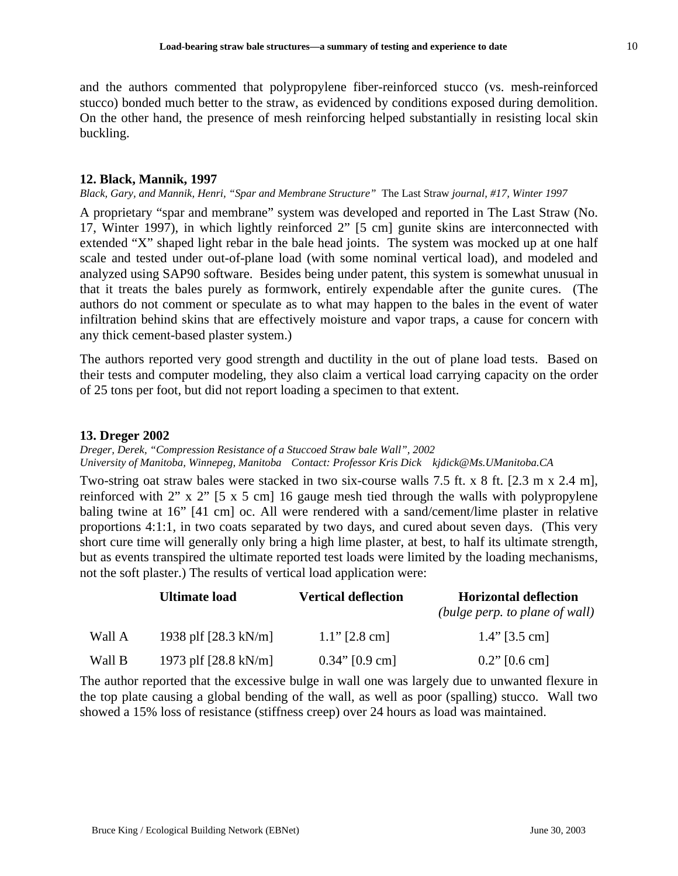and the authors commented that polypropylene fiber-reinforced stucco (vs. mesh-reinforced stucco) bonded much better to the straw, as evidenced by conditions exposed during demolition. On the other hand, the presence of mesh reinforcing helped substantially in resisting local skin buckling.

## **12. Black, Mannik, 1997**

*Black, Gary, and Mannik, Henri, "Spar and Membrane Structure"* The Last Straw *journal, #17, Winter 1997*

A proprietary "spar and membrane" system was developed and reported in The Last Straw (No. 17, Winter 1997), in which lightly reinforced 2" [5 cm] gunite skins are interconnected with extended "X" shaped light rebar in the bale head joints. The system was mocked up at one half scale and tested under out-of-plane load (with some nominal vertical load), and modeled and analyzed using SAP90 software. Besides being under patent, this system is somewhat unusual in that it treats the bales purely as formwork, entirely expendable after the gunite cures. (The authors do not comment or speculate as to what may happen to the bales in the event of water infiltration behind skins that are effectively moisture and vapor traps, a cause for concern with any thick cement-based plaster system.)

The authors reported very good strength and ductility in the out of plane load tests. Based on their tests and computer modeling, they also claim a vertical load carrying capacity on the order of 25 tons per foot, but did not report loading a specimen to that extent.

## **13. Dreger 2002**

*Dreger, Derek, "Compression Resistance of a Stuccoed Straw bale Wall", 2002 University of Manitoba, Winnepeg, Manitoba Contact: Professor Kris Dick kjdick@Ms.UManitoba.CA*

Two-string oat straw bales were stacked in two six-course walls 7.5 ft. x 8 ft. [2.3 m x 2.4 m], reinforced with 2" x 2" [5 x 5 cm] 16 gauge mesh tied through the walls with polypropylene baling twine at 16" [41 cm] oc. All were rendered with a sand/cement/lime plaster in relative proportions 4:1:1, in two coats separated by two days, and cured about seven days. (This very short cure time will generally only bring a high lime plaster, at best, to half its ultimate strength, but as events transpired the ultimate reported test loads were limited by the loading mechanisms, not the soft plaster.) The results of vertical load application were:

|        | <b>Ultimate load</b>           | <b>Vertical deflection</b> | <b>Horizontal deflection</b>   |
|--------|--------------------------------|----------------------------|--------------------------------|
|        |                                |                            | (bulge perp. to plane of wall) |
| Wall A | 1938 plf $[28.3 \text{ kN/m}]$ | $1.1$ " [2.8 cm]           | $1.4$ " [3.5 cm]               |
| Wall B | 1973 plf [28.8 kN/m]           | $0.34$ " [0.9 cm]          | $0.2$ " [0.6 cm]               |

The author reported that the excessive bulge in wall one was largely due to unwanted flexure in the top plate causing a global bending of the wall, as well as poor (spalling) stucco. Wall two showed a 15% loss of resistance (stiffness creep) over 24 hours as load was maintained.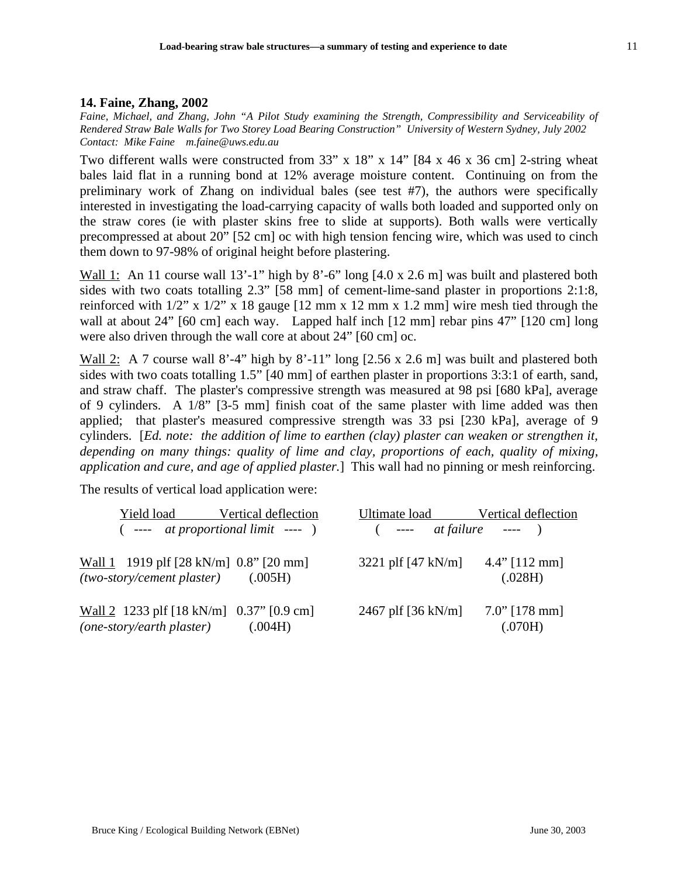## **14. Faine, Zhang, 2002**

*Faine, Michael, and Zhang, John "A Pilot Study examining the Strength, Compressibility and Serviceability of Rendered Straw Bale Walls for Two Storey Load Bearing Construction" University of Western Sydney, July 2002 Contact: Mike Faine m.faine@uws.edu.au*

Two different walls were constructed from 33" x 18" x 14" [84 x 46 x 36 cm] 2-string wheat bales laid flat in a running bond at 12% average moisture content. Continuing on from the preliminary work of Zhang on individual bales (see test #7), the authors were specifically interested in investigating the load-carrying capacity of walls both loaded and supported only on the straw cores (ie with plaster skins free to slide at supports). Both walls were vertically precompressed at about 20" [52 cm] oc with high tension fencing wire, which was used to cinch them down to 97-98% of original height before plastering.

Wall 1: An 11 course wall 13'-1" high by 8'-6" long [4.0 x 2.6 m] was built and plastered both sides with two coats totalling 2.3" [58 mm] of cement-lime-sand plaster in proportions 2:1:8, reinforced with  $1/2$ " x  $1/2$ " x 18 gauge  $[12 \text{ mm} \times 12 \text{ mm} \times 1.2 \text{ mm}]$  wire mesh tied through the wall at about 24" [60 cm] each way. Lapped half inch [12 mm] rebar pins 47" [120 cm] long were also driven through the wall core at about 24" [60 cm] oc.

Wall 2: A 7 course wall 8'-4" high by 8'-11" long [2.56 x 2.6 m] was built and plastered both sides with two coats totalling 1.5" [40 mm] of earthen plaster in proportions 3:3:1 of earth, sand, and straw chaff. The plaster's compressive strength was measured at 98 psi [680 kPa], average of 9 cylinders. A 1/8" [3-5 mm] finish coat of the same plaster with lime added was then applied; that plaster's measured compressive strength was 33 psi [230 kPa], average of 9 cylinders. [*Ed. note: the addition of lime to earthen (clay) plaster can weaken or strengthen it, depending on many things: quality of lime and clay, proportions of each, quality of mixing, application and cure, and age of applied plaster.*] This wall had no pinning or mesh reinforcing.

The results of vertical load application were:

|                                                                       | Yield load Vertical deflection          | Ultimate load Vertical deflection |                             |
|-----------------------------------------------------------------------|-----------------------------------------|-----------------------------------|-----------------------------|
|                                                                       | $($ ---- at proportional limit ---- $)$ | $($ ---- at failure ---- $)$      |                             |
| Wall 1 1919 plf [28 kN/m] 0.8" [20 mm]<br>(two-story/cement plaster)  | (.005H)                                 | 3221 plf $[47 \text{ kN/m}]$      | $4.4"$ [112 mm]<br>(.028H)  |
| Wall 2 1233 plf [18 kN/m] 0.37" [0.9 cm]<br>(one-story/earth plaster) | (.004H)                                 | 2467 plf $[36 \text{ kN/m}]$      | $7.0$ " [178 mm]<br>(.070H) |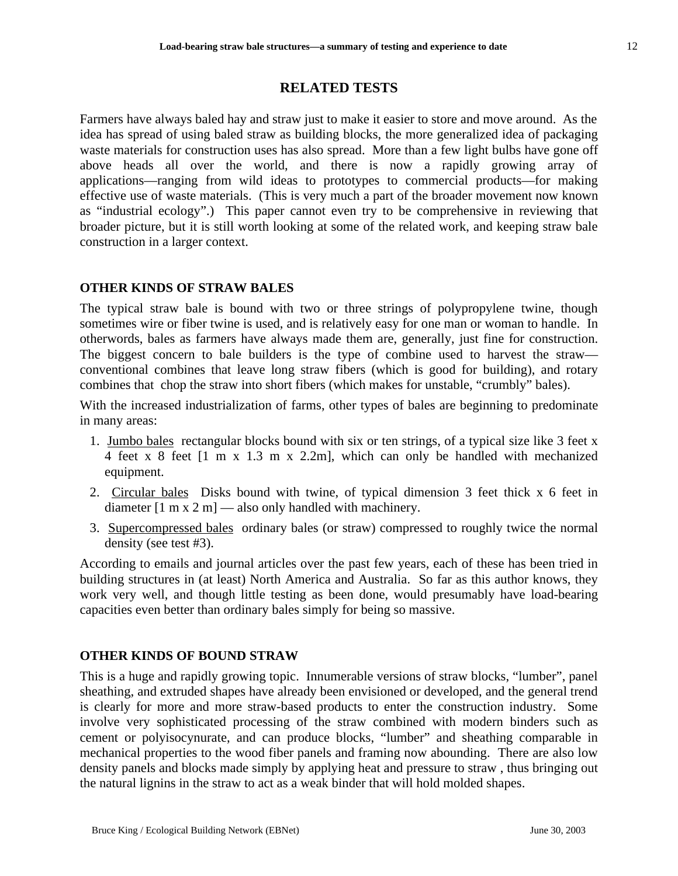# **RELATED TESTS**

Farmers have always baled hay and straw just to make it easier to store and move around. As the idea has spread of using baled straw as building blocks, the more generalized idea of packaging waste materials for construction uses has also spread. More than a few light bulbs have gone off above heads all over the world, and there is now a rapidly growing array of applications—ranging from wild ideas to prototypes to commercial products—for making effective use of waste materials. (This is very much a part of the broader movement now known as "industrial ecology".) This paper cannot even try to be comprehensive in reviewing that broader picture, but it is still worth looking at some of the related work, and keeping straw bale construction in a larger context.

## **OTHER KINDS OF STRAW BALES**

The typical straw bale is bound with two or three strings of polypropylene twine, though sometimes wire or fiber twine is used, and is relatively easy for one man or woman to handle. In otherwords, bales as farmers have always made them are, generally, just fine for construction. The biggest concern to bale builders is the type of combine used to harvest the straw conventional combines that leave long straw fibers (which is good for building), and rotary combines that chop the straw into short fibers (which makes for unstable, "crumbly" bales).

With the increased industrialization of farms, other types of bales are beginning to predominate in many areas:

- 1. Jumbo bales rectangular blocks bound with six or ten strings, of a typical size like 3 feet x 4 feet x 8 feet [1 m x 1.3 m x 2.2m], which can only be handled with mechanized equipment.
- 2. Circular bales Disks bound with twine, of typical dimension 3 feet thick x 6 feet in diameter  $[1 \text{ m x 2 m}]$  — also only handled with machinery.
- 3. Supercompressed bales ordinary bales (or straw) compressed to roughly twice the normal density (see test #3).

According to emails and journal articles over the past few years, each of these has been tried in building structures in (at least) North America and Australia. So far as this author knows, they work very well, and though little testing as been done, would presumably have load-bearing capacities even better than ordinary bales simply for being so massive.

## **OTHER KINDS OF BOUND STRAW**

This is a huge and rapidly growing topic. Innumerable versions of straw blocks, "lumber", panel sheathing, and extruded shapes have already been envisioned or developed, and the general trend is clearly for more and more straw-based products to enter the construction industry. Some involve very sophisticated processing of the straw combined with modern binders such as cement or polyisocynurate, and can produce blocks, "lumber" and sheathing comparable in mechanical properties to the wood fiber panels and framing now abounding. There are also low density panels and blocks made simply by applying heat and pressure to straw , thus bringing out the natural lignins in the straw to act as a weak binder that will hold molded shapes.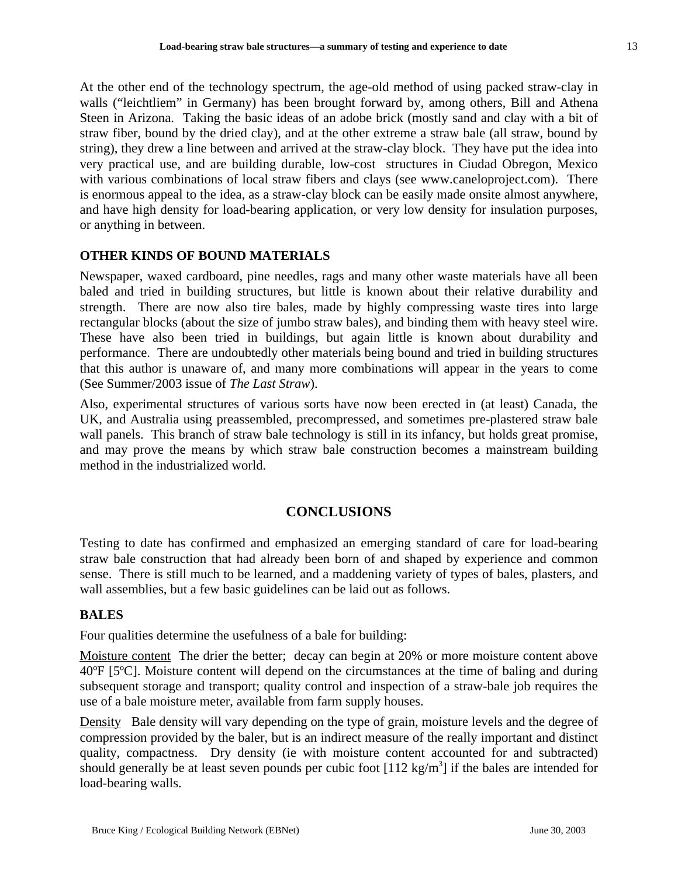At the other end of the technology spectrum, the age-old method of using packed straw-clay in walls ("leichtliem" in Germany) has been brought forward by, among others, Bill and Athena Steen in Arizona. Taking the basic ideas of an adobe brick (mostly sand and clay with a bit of straw fiber, bound by the dried clay), and at the other extreme a straw bale (all straw, bound by string), they drew a line between and arrived at the straw-clay block. They have put the idea into very practical use, and are building durable, low-cost structures in Ciudad Obregon, Mexico with various combinations of local straw fibers and clays (see www.caneloproject.com). There is enormous appeal to the idea, as a straw-clay block can be easily made onsite almost anywhere, and have high density for load-bearing application, or very low density for insulation purposes, or anything in between.

# **OTHER KINDS OF BOUND MATERIALS**

Newspaper, waxed cardboard, pine needles, rags and many other waste materials have all been baled and tried in building structures, but little is known about their relative durability and strength. There are now also tire bales, made by highly compressing waste tires into large rectangular blocks (about the size of jumbo straw bales), and binding them with heavy steel wire. These have also been tried in buildings, but again little is known about durability and performance. There are undoubtedly other materials being bound and tried in building structures that this author is unaware of, and many more combinations will appear in the years to come (See Summer/2003 issue of *The Last Straw*).

Also, experimental structures of various sorts have now been erected in (at least) Canada, the UK, and Australia using preassembled, precompressed, and sometimes pre-plastered straw bale wall panels. This branch of straw bale technology is still in its infancy, but holds great promise, and may prove the means by which straw bale construction becomes a mainstream building method in the industrialized world.

# **CONCLUSIONS**

Testing to date has confirmed and emphasized an emerging standard of care for load-bearing straw bale construction that had already been born of and shaped by experience and common sense. There is still much to be learned, and a maddening variety of types of bales, plasters, and wall assemblies, but a few basic guidelines can be laid out as follows.

# **BALES**

Four qualities determine the usefulness of a bale for building:

Moisture content The drier the better; decay can begin at 20% or more moisture content above 40ºF [5ºC]. Moisture content will depend on the circumstances at the time of baling and during subsequent storage and transport; quality control and inspection of a straw-bale job requires the use of a bale moisture meter, available from farm supply houses.

Density Bale density will vary depending on the type of grain, moisture levels and the degree of compression provided by the baler, but is an indirect measure of the really important and distinct quality, compactness. Dry density (ie with moisture content accounted for and subtracted) should generally be at least seven pounds per cubic foot [112 kg/m<sup>3</sup>] if the bales are intended for load-bearing walls.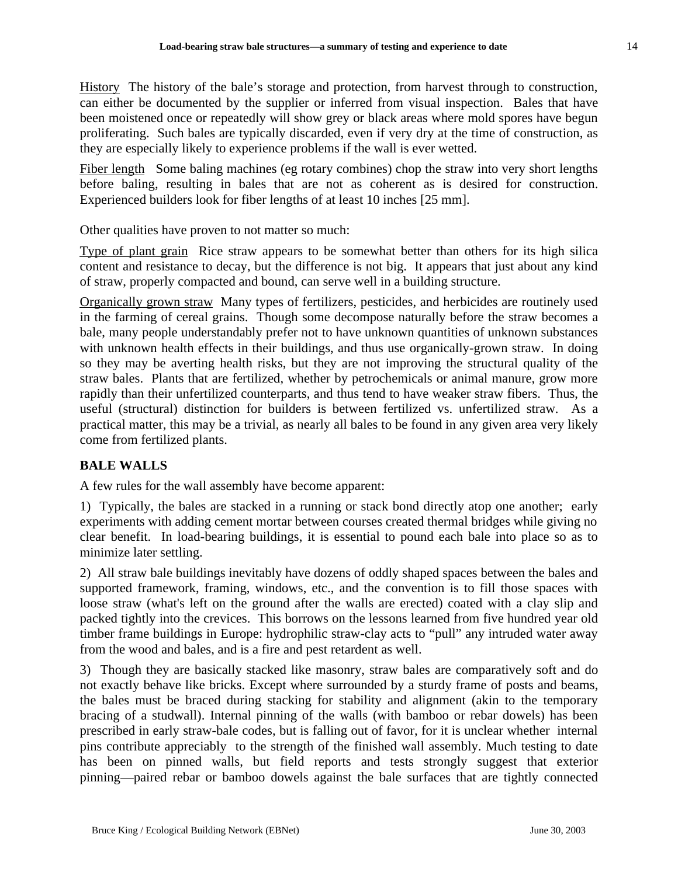History The history of the bale's storage and protection, from harvest through to construction, can either be documented by the supplier or inferred from visual inspection. Bales that have been moistened once or repeatedly will show grey or black areas where mold spores have begun proliferating. Such bales are typically discarded, even if very dry at the time of construction, as they are especially likely to experience problems if the wall is ever wetted.

Fiber length Some baling machines (eg rotary combines) chop the straw into very short lengths before baling, resulting in bales that are not as coherent as is desired for construction. Experienced builders look for fiber lengths of at least 10 inches [25 mm].

Other qualities have proven to not matter so much:

Type of plant grain Rice straw appears to be somewhat better than others for its high silica content and resistance to decay, but the difference is not big. It appears that just about any kind of straw, properly compacted and bound, can serve well in a building structure.

Organically grown straw Many types of fertilizers, pesticides, and herbicides are routinely used in the farming of cereal grains. Though some decompose naturally before the straw becomes a bale, many people understandably prefer not to have unknown quantities of unknown substances with unknown health effects in their buildings, and thus use organically-grown straw. In doing so they may be averting health risks, but they are not improving the structural quality of the straw bales. Plants that are fertilized, whether by petrochemicals or animal manure, grow more rapidly than their unfertilized counterparts, and thus tend to have weaker straw fibers. Thus, the useful (structural) distinction for builders is between fertilized vs. unfertilized straw. As a practical matter, this may be a trivial, as nearly all bales to be found in any given area very likely come from fertilized plants.

# **BALE WALLS**

A few rules for the wall assembly have become apparent:

1) Typically, the bales are stacked in a running or stack bond directly atop one another; early experiments with adding cement mortar between courses created thermal bridges while giving no clear benefit. In load-bearing buildings, it is essential to pound each bale into place so as to minimize later settling.

2) All straw bale buildings inevitably have dozens of oddly shaped spaces between the bales and supported framework, framing, windows, etc., and the convention is to fill those spaces with loose straw (what's left on the ground after the walls are erected) coated with a clay slip and packed tightly into the crevices. This borrows on the lessons learned from five hundred year old timber frame buildings in Europe: hydrophilic straw-clay acts to "pull" any intruded water away from the wood and bales, and is a fire and pest retardent as well.

3) Though they are basically stacked like masonry, straw bales are comparatively soft and do not exactly behave like bricks. Except where surrounded by a sturdy frame of posts and beams, the bales must be braced during stacking for stability and alignment (akin to the temporary bracing of a studwall). Internal pinning of the walls (with bamboo or rebar dowels) has been prescribed in early straw-bale codes, but is falling out of favor, for it is unclear whether internal pins contribute appreciably to the strength of the finished wall assembly. Much testing to date has been on pinned walls, but field reports and tests strongly suggest that exterior pinning—paired rebar or bamboo dowels against the bale surfaces that are tightly connected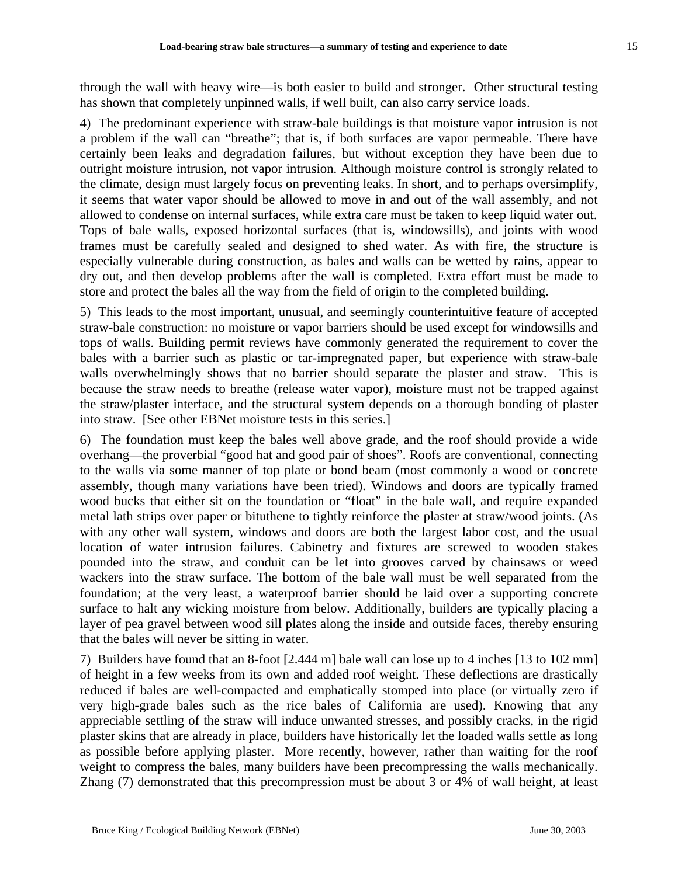through the wall with heavy wire—is both easier to build and stronger. Other structural testing has shown that completely unpinned walls, if well built, can also carry service loads.

4) The predominant experience with straw-bale buildings is that moisture vapor intrusion is not a problem if the wall can "breathe"; that is, if both surfaces are vapor permeable. There have certainly been leaks and degradation failures, but without exception they have been due to outright moisture intrusion, not vapor intrusion. Although moisture control is strongly related to the climate, design must largely focus on preventing leaks. In short, and to perhaps oversimplify, it seems that water vapor should be allowed to move in and out of the wall assembly, and not allowed to condense on internal surfaces, while extra care must be taken to keep liquid water out. Tops of bale walls, exposed horizontal surfaces (that is, windowsills), and joints with wood frames must be carefully sealed and designed to shed water. As with fire, the structure is especially vulnerable during construction, as bales and walls can be wetted by rains, appear to dry out, and then develop problems after the wall is completed. Extra effort must be made to store and protect the bales all the way from the field of origin to the completed building.

5) This leads to the most important, unusual, and seemingly counterintuitive feature of accepted straw-bale construction: no moisture or vapor barriers should be used except for windowsills and tops of walls. Building permit reviews have commonly generated the requirement to cover the bales with a barrier such as plastic or tar-impregnated paper, but experience with straw-bale walls overwhelmingly shows that no barrier should separate the plaster and straw. This is because the straw needs to breathe (release water vapor), moisture must not be trapped against the straw/plaster interface, and the structural system depends on a thorough bonding of plaster into straw. [See other EBNet moisture tests in this series.]

6) The foundation must keep the bales well above grade, and the roof should provide a wide overhang—the proverbial "good hat and good pair of shoes". Roofs are conventional, connecting to the walls via some manner of top plate or bond beam (most commonly a wood or concrete assembly, though many variations have been tried). Windows and doors are typically framed wood bucks that either sit on the foundation or "float" in the bale wall, and require expanded metal lath strips over paper or bituthene to tightly reinforce the plaster at straw/wood joints. (As with any other wall system, windows and doors are both the largest labor cost, and the usual location of water intrusion failures. Cabinetry and fixtures are screwed to wooden stakes pounded into the straw, and conduit can be let into grooves carved by chainsaws or weed wackers into the straw surface. The bottom of the bale wall must be well separated from the foundation; at the very least, a waterproof barrier should be laid over a supporting concrete surface to halt any wicking moisture from below. Additionally, builders are typically placing a layer of pea gravel between wood sill plates along the inside and outside faces, thereby ensuring that the bales will never be sitting in water.

7) Builders have found that an 8-foot [2.444 m] bale wall can lose up to 4 inches [13 to 102 mm] of height in a few weeks from its own and added roof weight. These deflections are drastically reduced if bales are well-compacted and emphatically stomped into place (or virtually zero if very high-grade bales such as the rice bales of California are used). Knowing that any appreciable settling of the straw will induce unwanted stresses, and possibly cracks, in the rigid plaster skins that are already in place, builders have historically let the loaded walls settle as long as possible before applying plaster. More recently, however, rather than waiting for the roof weight to compress the bales, many builders have been precompressing the walls mechanically. Zhang (7) demonstrated that this precompression must be about 3 or 4% of wall height, at least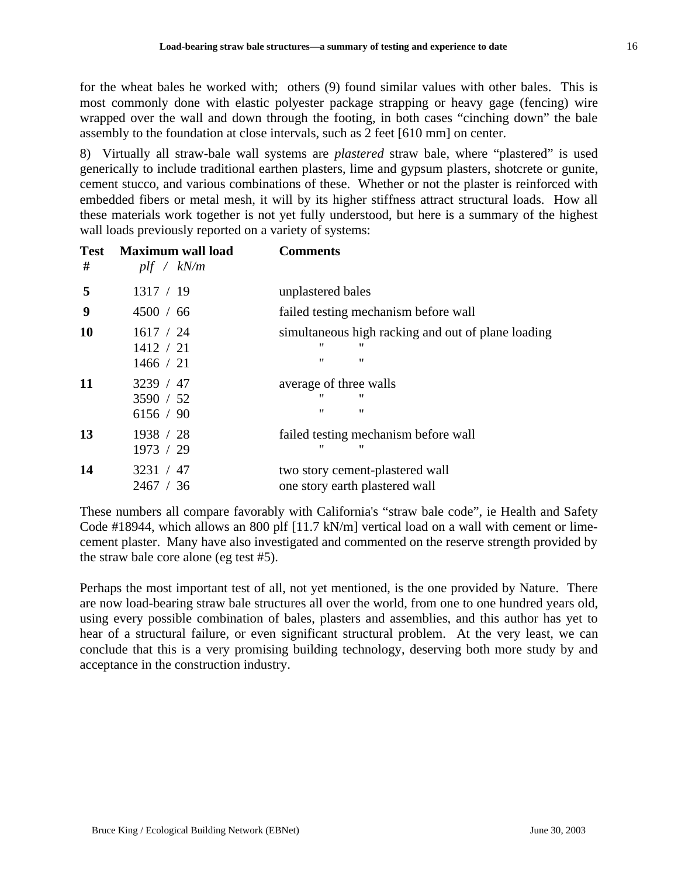for the wheat bales he worked with; others (9) found similar values with other bales. This is most commonly done with elastic polyester package strapping or heavy gage (fencing) wire wrapped over the wall and down through the footing, in both cases "cinching down" the bale assembly to the foundation at close intervals, such as 2 feet [610 mm] on center.

8) Virtually all straw-bale wall systems are *plastered* straw bale, where "plastered" is used generically to include traditional earthen plasters, lime and gypsum plasters, shotcrete or gunite, cement stucco, and various combinations of these. Whether or not the plaster is reinforced with embedded fibers or metal mesh, it will by its higher stiffness attract structural loads. How all these materials work together is not yet fully understood, but here is a summary of the highest wall loads previously reported on a variety of systems:

| <b>Test</b><br># | <b>Maximum wall load</b><br>$p$ lf / kN/m | <b>Comments</b>                                                                                  |
|------------------|-------------------------------------------|--------------------------------------------------------------------------------------------------|
| 5                | 1317 / 19                                 | unplastered bales                                                                                |
| 9                | 4500 / 66                                 | failed testing mechanism before wall                                                             |
| <b>10</b>        | 1617 / 24<br>1412 / 21<br>1466 / 21       | simultaneous high racking and out of plane loading<br>"<br>"<br>$^{\prime}$<br>$^{\prime\prime}$ |
| 11               | 3239 / 47<br>3590 / 52<br>6156 / 90       | average of three walls<br>"<br>"<br>$^{\prime}$<br>$^{\prime\prime}$                             |
| 13               | 1938 / 28<br>1973 / 29                    | failed testing mechanism before wall<br>"<br>"                                                   |
| 14               | 3231 / 47<br>2467 / 36                    | two story cement-plastered wall<br>one story earth plastered wall                                |

These numbers all compare favorably with California's "straw bale code", ie Health and Safety Code #18944, which allows an 800 plf [11.7 kN/m] vertical load on a wall with cement or limecement plaster. Many have also investigated and commented on the reserve strength provided by the straw bale core alone (eg test #5).

Perhaps the most important test of all, not yet mentioned, is the one provided by Nature. There are now load-bearing straw bale structures all over the world, from one to one hundred years old, using every possible combination of bales, plasters and assemblies, and this author has yet to hear of a structural failure, or even significant structural problem. At the very least, we can conclude that this is a very promising building technology, deserving both more study by and acceptance in the construction industry.